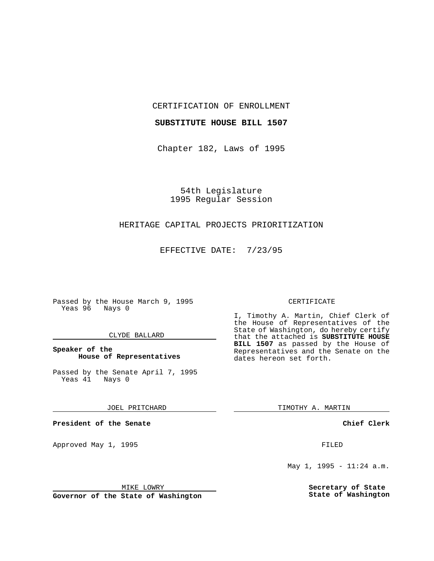CERTIFICATION OF ENROLLMENT

### **SUBSTITUTE HOUSE BILL 1507**

Chapter 182, Laws of 1995

54th Legislature 1995 Regular Session

## HERITAGE CAPITAL PROJECTS PRIORITIZATION

EFFECTIVE DATE: 7/23/95

Passed by the House March 9, 1995 Yeas 96 Nays 0

#### CLYDE BALLARD

## **Speaker of the House of Representatives**

Passed by the Senate April 7, 1995<br>Yeas 41 Nays 0  $Yeas$  41

JOEL PRITCHARD

**President of the Senate**

Approved May 1, 1995 **FILED** 

#### MIKE LOWRY

**Governor of the State of Washington**

#### CERTIFICATE

I, Timothy A. Martin, Chief Clerk of the House of Representatives of the State of Washington, do hereby certify that the attached is **SUBSTITUTE HOUSE BILL 1507** as passed by the House of Representatives and the Senate on the dates hereon set forth.

TIMOTHY A. MARTIN

**Chief Clerk**

May 1, 1995 - 11:24 a.m.

**Secretary of State State of Washington**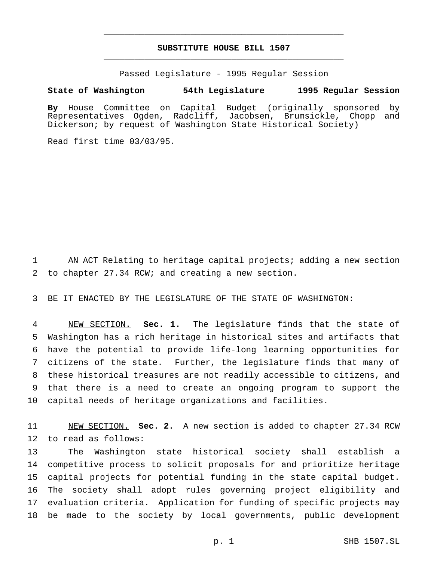# **SUBSTITUTE HOUSE BILL 1507** \_\_\_\_\_\_\_\_\_\_\_\_\_\_\_\_\_\_\_\_\_\_\_\_\_\_\_\_\_\_\_\_\_\_\_\_\_\_\_\_\_\_\_\_\_\_\_

\_\_\_\_\_\_\_\_\_\_\_\_\_\_\_\_\_\_\_\_\_\_\_\_\_\_\_\_\_\_\_\_\_\_\_\_\_\_\_\_\_\_\_\_\_\_\_

Passed Legislature - 1995 Regular Session

## **State of Washington 54th Legislature 1995 Regular Session**

**By** House Committee on Capital Budget (originally sponsored by Representatives Ogden, Radcliff, Jacobsen, Brumsickle, Chopp and Dickerson; by request of Washington State Historical Society)

Read first time 03/03/95.

 AN ACT Relating to heritage capital projects; adding a new section to chapter 27.34 RCW; and creating a new section.

BE IT ENACTED BY THE LEGISLATURE OF THE STATE OF WASHINGTON:

 NEW SECTION. **Sec. 1.** The legislature finds that the state of Washington has a rich heritage in historical sites and artifacts that have the potential to provide life-long learning opportunities for citizens of the state. Further, the legislature finds that many of these historical treasures are not readily accessible to citizens, and that there is a need to create an ongoing program to support the capital needs of heritage organizations and facilities.

 NEW SECTION. **Sec. 2.** A new section is added to chapter 27.34 RCW to read as follows:

 The Washington state historical society shall establish a competitive process to solicit proposals for and prioritize heritage capital projects for potential funding in the state capital budget. The society shall adopt rules governing project eligibility and evaluation criteria. Application for funding of specific projects may be made to the society by local governments, public development